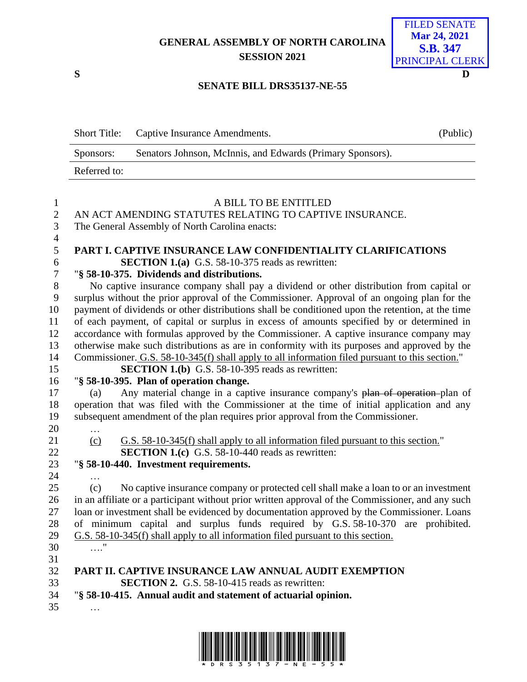## **GENERAL ASSEMBLY OF NORTH CAROLINA SESSION 2021**

**S D**

| <b>FILED SENATE</b> |
|---------------------|
| <b>Mar 24, 2021</b> |
| <b>S.B. 347</b>     |
| PRINCIPAL CLERK     |
|                     |

## **SENATE BILL DRS35137-NE-55**

|              | Short Title: Captive Insurance Amendments.                 | (Public) |
|--------------|------------------------------------------------------------|----------|
| Sponsors:    | Senators Johnson, McInnis, and Edwards (Primary Sponsors). |          |
| Referred to: |                                                            |          |

| $\mathbf{1}$     | A BILL TO BE ENTITLED                                                                             |
|------------------|---------------------------------------------------------------------------------------------------|
| $\overline{2}$   | AN ACT AMENDING STATUTES RELATING TO CAPTIVE INSURANCE.                                           |
| 3                | The General Assembly of North Carolina enacts:                                                    |
| $\overline{4}$   |                                                                                                   |
| 5                | PART I. CAPTIVE INSURANCE LAW CONFIDENTIALITY CLARIFICATIONS                                      |
| 6                | <b>SECTION 1.(a)</b> G.S. 58-10-375 reads as rewritten:                                           |
| $\boldsymbol{7}$ | "§ 58-10-375. Dividends and distributions.                                                        |
| $8\,$            | No captive insurance company shall pay a dividend or other distribution from capital or           |
| 9                | surplus without the prior approval of the Commissioner. Approval of an ongoing plan for the       |
| 10               | payment of dividends or other distributions shall be conditioned upon the retention, at the time  |
| 11               | of each payment, of capital or surplus in excess of amounts specified by or determined in         |
| 12               | accordance with formulas approved by the Commissioner. A captive insurance company may            |
| 13               | otherwise make such distributions as are in conformity with its purposes and approved by the      |
| 14               | Commissioner. G.S. 58-10-345(f) shall apply to all information filed pursuant to this section."   |
| 15               | <b>SECTION 1.(b)</b> G.S. 58-10-395 reads as rewritten:                                           |
| 16               | "§ 58-10-395. Plan of operation change.                                                           |
| 17               | Any material change in a captive insurance company's plan of operation-plan of<br>(a)             |
| 18               | operation that was filed with the Commissioner at the time of initial application and any         |
| 19               | subsequent amendment of the plan requires prior approval from the Commissioner.                   |
| 20               | $\ddotsc$                                                                                         |
| 21               | G.S. 58-10-345(f) shall apply to all information filed pursuant to this section."<br>(c)          |
| 22               | <b>SECTION 1.(c)</b> G.S. 58-10-440 reads as rewritten:                                           |
| 23               | "§ 58-10-440. Investment requirements.                                                            |
| 24               |                                                                                                   |
| 25               | No captive insurance company or protected cell shall make a loan to or an investment<br>(c)       |
| 26               | in an affiliate or a participant without prior written approval of the Commissioner, and any such |
| 27               | loan or investment shall be evidenced by documentation approved by the Commissioner. Loans        |
| 28               | of minimum capital and surplus funds required by G.S. 58-10-370 are prohibited.                   |
| 29               | G.S. 58-10-345(f) shall apply to all information filed pursuant to this section.                  |
| 30               |                                                                                                   |
| 31               |                                                                                                   |
| 32               | PART II. CAPTIVE INSURANCE LAW ANNUAL AUDIT EXEMPTION                                             |
| 33               | <b>SECTION 2.</b> G.S. 58-10-415 reads as rewritten:                                              |
| 34               | "§ 58-10-415. Annual audit and statement of actuarial opinion.                                    |
| 35               |                                                                                                   |

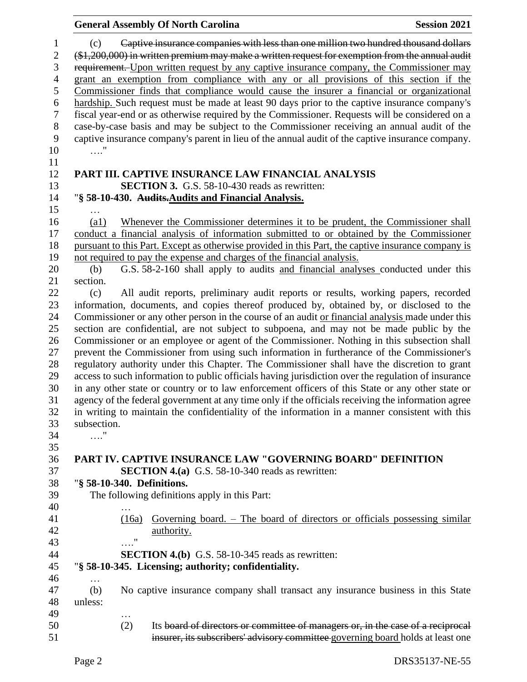|                            | <b>General Assembly Of North Carolina</b><br><b>Session 2021</b>                                    |
|----------------------------|-----------------------------------------------------------------------------------------------------|
| (c)                        | Captive insurance companies with less than one million two hundred thousand dollars                 |
|                            | $(*1,200,000)$ in written premium may make a written request for exemption from the annual audit    |
|                            | requirement. Upon written request by any captive insurance company, the Commissioner may            |
|                            |                                                                                                     |
|                            | grant an exemption from compliance with any or all provisions of this section if the                |
|                            | Commissioner finds that compliance would cause the insurer a financial or organizational            |
|                            | hardship. Such request must be made at least 90 days prior to the captive insurance company's       |
|                            | fiscal year-end or as otherwise required by the Commissioner. Requests will be considered on a      |
|                            | case-by-case basis and may be subject to the Commissioner receiving an annual audit of the          |
|                            | captive insurance company's parent in lieu of the annual audit of the captive insurance company.    |
| $\ldots$ "                 |                                                                                                     |
|                            |                                                                                                     |
|                            | PART III. CAPTIVE INSURANCE LAW FINANCIAL ANALYSIS                                                  |
|                            | SECTION 3. G.S. 58-10-430 reads as rewritten:                                                       |
|                            | "§ 58-10-430. Audits-Audits and Financial Analysis.                                                 |
|                            |                                                                                                     |
| $\left( \text{a1}\right)$  | Whenever the Commissioner determines it to be prudent, the Commissioner shall                       |
|                            | conduct a financial analysis of information submitted to or obtained by the Commissioner            |
|                            | pursuant to this Part. Except as otherwise provided in this Part, the captive insurance company is  |
|                            | not required to pay the expense and charges of the financial analysis.                              |
| (b)                        | G.S. 58-2-160 shall apply to audits and financial analyses conducted under this                     |
| section.                   |                                                                                                     |
| (c)                        | All audit reports, preliminary audit reports or results, working papers, recorded                   |
|                            | information, documents, and copies thereof produced by, obtained by, or disclosed to the            |
|                            | Commissioner or any other person in the course of an audit or financial analysis made under this    |
|                            | section are confidential, are not subject to subpoena, and may not be made public by the            |
|                            | Commissioner or an employee or agent of the Commissioner. Nothing in this subsection shall          |
|                            | prevent the Commissioner from using such information in furtherance of the Commissioner's           |
|                            | regulatory authority under this Chapter. The Commissioner shall have the discretion to grant        |
|                            |                                                                                                     |
|                            | access to such information to public officials having jurisdiction over the regulation of insurance |
|                            | in any other state or country or to law enforcement officers of this State or any other state or    |
|                            | agency of the federal government at any time only if the officials receiving the information agree  |
|                            | in writing to maintain the confidentiality of the information in a manner consistent with this      |
| subsection.                |                                                                                                     |
| $\ldots$ "                 |                                                                                                     |
|                            |                                                                                                     |
|                            | <b>PART IV. CAPTIVE INSURANCE LAW "GOVERNING BOARD" DEFINITION</b>                                  |
|                            | <b>SECTION 4.(a)</b> G.S. 58-10-340 reads as rewritten:                                             |
| "§ 58-10-340. Definitions. |                                                                                                     |
|                            | The following definitions apply in this Part:                                                       |
|                            |                                                                                                     |
| (16a)                      | Governing board. – The board of directors or officials possessing similar                           |
|                            | authority.                                                                                          |
| $\pmb{\mathsf{H}}$         |                                                                                                     |
|                            | <b>SECTION 4.(b)</b> G.S. 58-10-345 reads as rewritten:                                             |
|                            | "§ 58-10-345. Licensing; authority; confidentiality.                                                |
| $\cdots$                   |                                                                                                     |
| (b)                        | No captive insurance company shall transact any insurance business in this State                    |
| unless:                    |                                                                                                     |
|                            |                                                                                                     |
| (2)                        | Its board of directors or committee of managers or, in the case of a reciprocal                     |
|                            | insurer, its subscribers' advisory committee governing board holds at least one                     |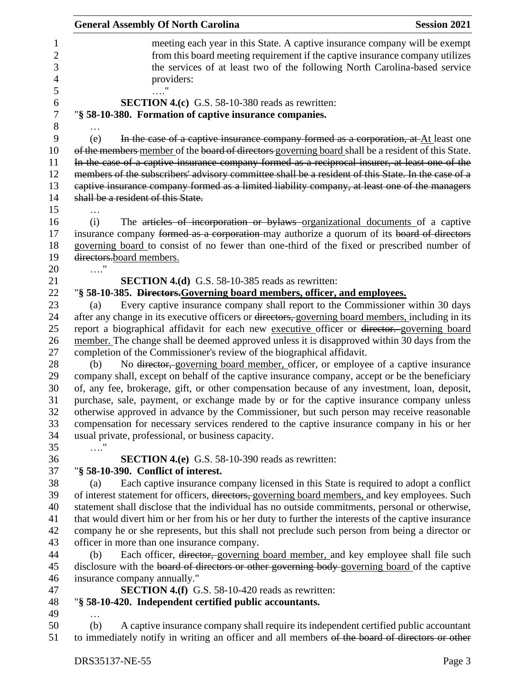|                                                 | <b>General Assembly Of North Carolina</b><br><b>Session 2021</b>                                                                                                                                                                                                                                                                                                                                                                                                                                                                                |
|-------------------------------------------------|-------------------------------------------------------------------------------------------------------------------------------------------------------------------------------------------------------------------------------------------------------------------------------------------------------------------------------------------------------------------------------------------------------------------------------------------------------------------------------------------------------------------------------------------------|
| 1<br>$\overline{c}$<br>3<br>$\overline{4}$<br>5 | meeting each year in this State. A captive insurance company will be exempt<br>from this board meeting requirement if the captive insurance company utilizes<br>the services of at least two of the following North Carolina-based service<br>providers:                                                                                                                                                                                                                                                                                        |
| 6<br>$\overline{7}$                             | <b>SECTION 4.(c)</b> G.S. 58-10-380 reads as rewritten:<br>"§ 58-10-380. Formation of captive insurance companies.                                                                                                                                                                                                                                                                                                                                                                                                                              |
| 8                                               |                                                                                                                                                                                                                                                                                                                                                                                                                                                                                                                                                 |
| 9<br>10<br>11<br>12<br>13<br>14                 | In the case of a captive insurance company formed as a corporation, at At least one<br>(e)<br>of the members member of the board of directors governing board shall be a resident of this State.<br>In the case of a captive insurance company formed as a reciprocal insurer, at least one of the<br>members of the subscribers' advisory committee shall be a resident of this State. In the case of a<br>captive insurance company formed as a limited liability company, at least one of the managers<br>shall be a resident of this State. |
|                                                 |                                                                                                                                                                                                                                                                                                                                                                                                                                                                                                                                                 |
| 15<br>16<br>17<br>18<br>19<br>20                | The articles of incorporation or bylaws organizational documents of a captive<br>(i)<br>insurance company formed as a corporation-may authorize a quorum of its board of directors<br>governing board to consist of no fewer than one-third of the fixed or prescribed number of<br>directors.board members.<br>. '                                                                                                                                                                                                                             |
| 21                                              | SECTION 4.(d) G.S. 58-10-385 reads as rewritten:                                                                                                                                                                                                                                                                                                                                                                                                                                                                                                |
|                                                 |                                                                                                                                                                                                                                                                                                                                                                                                                                                                                                                                                 |
| 22                                              | "§ 58-10-385. Directors. Governing board members, officer, and employees.                                                                                                                                                                                                                                                                                                                                                                                                                                                                       |
| 23                                              | Every captive insurance company shall report to the Commissioner within 30 days<br>(a)                                                                                                                                                                                                                                                                                                                                                                                                                                                          |
| 24                                              | after any change in its executive officers or directors, governing board members, including in its                                                                                                                                                                                                                                                                                                                                                                                                                                              |
| 25                                              | report a biographical affidavit for each new executive officer or director. governing board                                                                                                                                                                                                                                                                                                                                                                                                                                                     |
| 26                                              | member. The change shall be deemed approved unless it is disapproved within 30 days from the                                                                                                                                                                                                                                                                                                                                                                                                                                                    |
| 27                                              | completion of the Commissioner's review of the biographical affidavit.                                                                                                                                                                                                                                                                                                                                                                                                                                                                          |
| 28                                              | No <del>director, governing board member, officer</del> , or employee of a captive insurance<br>(b)                                                                                                                                                                                                                                                                                                                                                                                                                                             |
| 29                                              | company shall, except on behalf of the captive insurance company, accept or be the beneficiary                                                                                                                                                                                                                                                                                                                                                                                                                                                  |
| 30                                              | of, any fee, brokerage, gift, or other compensation because of any investment, loan, deposit,                                                                                                                                                                                                                                                                                                                                                                                                                                                   |
| 31                                              | purchase, sale, payment, or exchange made by or for the captive insurance company unless                                                                                                                                                                                                                                                                                                                                                                                                                                                        |
| 32                                              | otherwise approved in advance by the Commissioner, but such person may receive reasonable                                                                                                                                                                                                                                                                                                                                                                                                                                                       |
| 33                                              | compensation for necessary services rendered to the captive insurance company in his or her                                                                                                                                                                                                                                                                                                                                                                                                                                                     |
| 34                                              | usual private, professional, or business capacity.                                                                                                                                                                                                                                                                                                                                                                                                                                                                                              |
| 35                                              | . "                                                                                                                                                                                                                                                                                                                                                                                                                                                                                                                                             |
| 36                                              | <b>SECTION 4.(e)</b> G.S. 58-10-390 reads as rewritten:                                                                                                                                                                                                                                                                                                                                                                                                                                                                                         |
| 37                                              | "§ 58-10-390. Conflict of interest.                                                                                                                                                                                                                                                                                                                                                                                                                                                                                                             |
| 38                                              | Each captive insurance company licensed in this State is required to adopt a conflict<br>(a)                                                                                                                                                                                                                                                                                                                                                                                                                                                    |
| 39                                              | of interest statement for officers, directors, governing board members, and key employees. Such                                                                                                                                                                                                                                                                                                                                                                                                                                                 |
| 40                                              | statement shall disclose that the individual has no outside commitments, personal or otherwise,                                                                                                                                                                                                                                                                                                                                                                                                                                                 |
| 41                                              | that would divert him or her from his or her duty to further the interests of the captive insurance                                                                                                                                                                                                                                                                                                                                                                                                                                             |
| 42                                              | company he or she represents, but this shall not preclude such person from being a director or                                                                                                                                                                                                                                                                                                                                                                                                                                                  |
| 43                                              | officer in more than one insurance company.                                                                                                                                                                                                                                                                                                                                                                                                                                                                                                     |
| 44                                              | Each officer, director, governing board member, and key employee shall file such<br>(b)                                                                                                                                                                                                                                                                                                                                                                                                                                                         |
| 45                                              | disclosure with the board of directors or other governing body-governing board of the captive                                                                                                                                                                                                                                                                                                                                                                                                                                                   |
| 46                                              | insurance company annually."                                                                                                                                                                                                                                                                                                                                                                                                                                                                                                                    |
| 47                                              | <b>SECTION 4.(f)</b> G.S. 58-10-420 reads as rewritten:                                                                                                                                                                                                                                                                                                                                                                                                                                                                                         |
| 48                                              | "§ 58-10-420. Independent certified public accountants.                                                                                                                                                                                                                                                                                                                                                                                                                                                                                         |
| 49                                              | .                                                                                                                                                                                                                                                                                                                                                                                                                                                                                                                                               |
| 50                                              | A captive insurance company shall require its independent certified public accountant<br>(b)                                                                                                                                                                                                                                                                                                                                                                                                                                                    |
| 51                                              | to immediately notify in writing an officer and all members of the board of directors or other                                                                                                                                                                                                                                                                                                                                                                                                                                                  |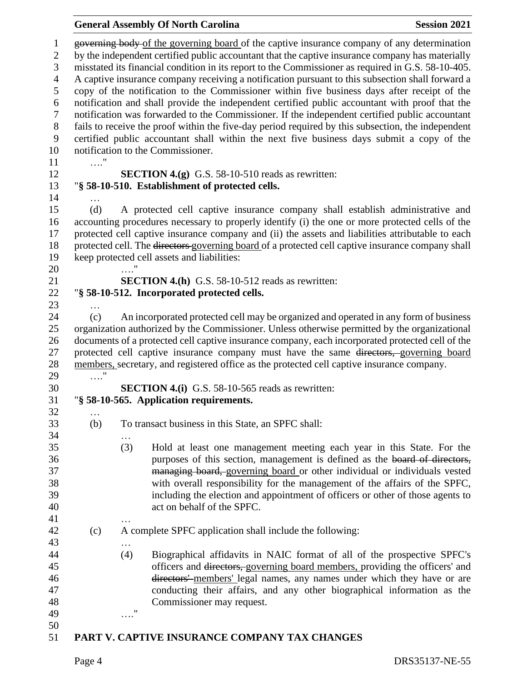|                                                                                               |                   | <b>General Assembly Of North Carolina</b>                                                                                                                                                       | <b>Session 2021</b> |
|-----------------------------------------------------------------------------------------------|-------------------|-------------------------------------------------------------------------------------------------------------------------------------------------------------------------------------------------|---------------------|
|                                                                                               |                   | governing body of the governing board of the captive insurance company of any determination<br>by the independent certified public accountant that the captive insurance company has materially |                     |
|                                                                                               |                   | misstated its financial condition in its report to the Commissioner as required in G.S. 58-10-405.                                                                                              |                     |
|                                                                                               |                   | A captive insurance company receiving a notification pursuant to this subsection shall forward a                                                                                                |                     |
|                                                                                               |                   | copy of the notification to the Commissioner within five business days after receipt of the                                                                                                     |                     |
|                                                                                               |                   | notification and shall provide the independent certified public accountant with proof that the                                                                                                  |                     |
|                                                                                               |                   | notification was forwarded to the Commissioner. If the independent certified public accountant                                                                                                  |                     |
|                                                                                               |                   | fails to receive the proof within the five-day period required by this subsection, the independent                                                                                              |                     |
|                                                                                               |                   | certified public accountant shall within the next five business days submit a copy of the                                                                                                       |                     |
|                                                                                               |                   | notification to the Commissioner.                                                                                                                                                               |                     |
| $\ldots$ "                                                                                    |                   |                                                                                                                                                                                                 |                     |
|                                                                                               |                   | <b>SECTION 4.(g)</b> G.S. 58-10-510 reads as rewritten:                                                                                                                                         |                     |
|                                                                                               |                   | "§ 58-10-510. Establishment of protected cells.                                                                                                                                                 |                     |
|                                                                                               |                   |                                                                                                                                                                                                 |                     |
| (d)                                                                                           |                   | A protected cell captive insurance company shall establish administrative and                                                                                                                   |                     |
|                                                                                               |                   | accounting procedures necessary to properly identify (i) the one or more protected cells of the                                                                                                 |                     |
|                                                                                               |                   | protected cell captive insurance company and (ii) the assets and liabilities attributable to each                                                                                               |                     |
|                                                                                               |                   | protected cell. The <del>directors governing board</del> of a protected cell captive insurance company shall<br>keep protected cell assets and liabilities:                                     |                     |
|                                                                                               |                   |                                                                                                                                                                                                 |                     |
|                                                                                               |                   | <b>SECTION 4.(h)</b> G.S. 58-10-512 reads as rewritten:                                                                                                                                         |                     |
|                                                                                               |                   | "§ 58-10-512. Incorporated protected cells.                                                                                                                                                     |                     |
| .                                                                                             |                   |                                                                                                                                                                                                 |                     |
| (c)                                                                                           |                   | An incorporated protected cell may be organized and operated in any form of business                                                                                                            |                     |
| organization authorized by the Commissioner. Unless otherwise permitted by the organizational |                   |                                                                                                                                                                                                 |                     |
|                                                                                               |                   |                                                                                                                                                                                                 |                     |
|                                                                                               |                   | documents of a protected cell captive insurance company, each incorporated protected cell of the                                                                                                |                     |
|                                                                                               |                   | protected cell captive insurance company must have the same directors, governing board                                                                                                          |                     |
|                                                                                               |                   | members, secretary, and registered office as the protected cell captive insurance company.                                                                                                      |                     |
| . '                                                                                           |                   |                                                                                                                                                                                                 |                     |
|                                                                                               |                   | <b>SECTION 4.(i)</b> G.S. 58-10-565 reads as rewritten:                                                                                                                                         |                     |
|                                                                                               |                   | "§ 58-10-565. Application requirements.                                                                                                                                                         |                     |
| $\cdots$<br>(b)                                                                               |                   | To transact business in this State, an SPFC shall:                                                                                                                                              |                     |
|                                                                                               |                   |                                                                                                                                                                                                 |                     |
|                                                                                               | (3)               | Hold at least one management meeting each year in this State. For the                                                                                                                           |                     |
|                                                                                               |                   | purposes of this section, management is defined as the board of directors,                                                                                                                      |                     |
|                                                                                               |                   | managing board, governing board or other individual or individuals vested                                                                                                                       |                     |
|                                                                                               |                   | with overall responsibility for the management of the affairs of the SPFC,                                                                                                                      |                     |
|                                                                                               |                   | including the election and appointment of officers or other of those agents to<br>act on behalf of the SPFC.                                                                                    |                     |
|                                                                                               | .                 |                                                                                                                                                                                                 |                     |
| (c)                                                                                           |                   | A complete SPFC application shall include the following:                                                                                                                                        |                     |
|                                                                                               | (4)               | Biographical affidavits in NAIC format of all of the prospective SPFC's                                                                                                                         |                     |
|                                                                                               |                   | officers and directors, governing board members, providing the officers' and                                                                                                                    |                     |
|                                                                                               |                   | directors' members' legal names, any names under which they have or are                                                                                                                         |                     |
|                                                                                               |                   | conducting their affairs, and any other biographical information as the                                                                                                                         |                     |
|                                                                                               |                   | Commissioner may request.                                                                                                                                                                       |                     |
|                                                                                               | $^{\prime\prime}$ |                                                                                                                                                                                                 |                     |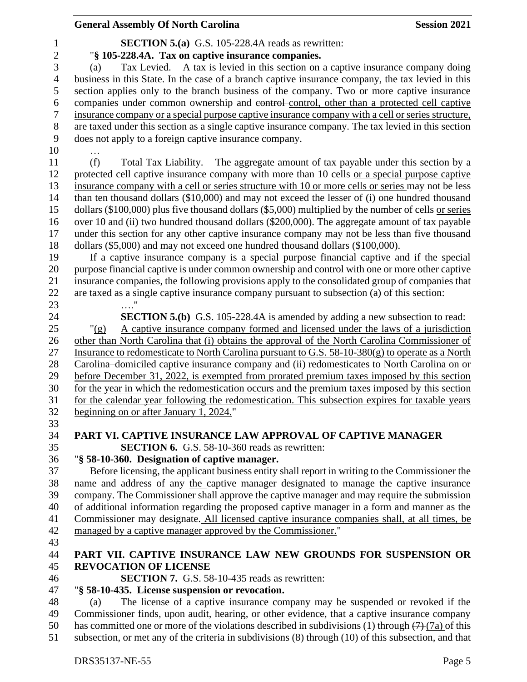|                  | <b>General Assembly Of North Carolina</b>                                                                                                                                                 | <b>Session 2021</b> |
|------------------|-------------------------------------------------------------------------------------------------------------------------------------------------------------------------------------------|---------------------|
| $\mathbf{1}$     | <b>SECTION 5.(a)</b> G.S. 105-228.4A reads as rewritten:                                                                                                                                  |                     |
| $\boldsymbol{2}$ | "§ 105-228.4A. Tax on captive insurance companies.                                                                                                                                        |                     |
| 3                | Tax Levied. $- A$ tax is levied in this section on a captive insurance company doing<br>(a)                                                                                               |                     |
| $\overline{4}$   | business in this State. In the case of a branch captive insurance company, the tax levied in this                                                                                         |                     |
| 5                | section applies only to the branch business of the company. Two or more captive insurance                                                                                                 |                     |
| 6                | companies under common ownership and control-control, other than a protected cell captive                                                                                                 |                     |
| $\tau$           | insurance company or a special purpose captive insurance company with a cell or series structure,                                                                                         |                     |
| $8\,$            | are taxed under this section as a single captive insurance company. The tax levied in this section                                                                                        |                     |
| 9                | does not apply to a foreign captive insurance company.                                                                                                                                    |                     |
| 10               |                                                                                                                                                                                           |                     |
| 11               | (f)<br>Total Tax Liability. – The aggregate amount of tax payable under this section by a                                                                                                 |                     |
| 12               | protected cell captive insurance company with more than 10 cells or a special purpose captive                                                                                             |                     |
| 13               | insurance company with a cell or series structure with 10 or more cells or series may not be less                                                                                         |                     |
| 14               | than ten thousand dollars (\$10,000) and may not exceed the lesser of (i) one hundred thousand                                                                                            |                     |
| 15               | dollars (\$100,000) plus five thousand dollars (\$5,000) multiplied by the number of cells or series                                                                                      |                     |
| 16               | over 10 and (ii) two hundred thousand dollars (\$200,000). The aggregate amount of tax payable                                                                                            |                     |
| 17               | under this section for any other captive insurance company may not be less than five thousand                                                                                             |                     |
| 18               | dollars (\$5,000) and may not exceed one hundred thousand dollars (\$100,000).                                                                                                            |                     |
| 19               | If a captive insurance company is a special purpose financial captive and if the special                                                                                                  |                     |
| 20               | purpose financial captive is under common ownership and control with one or more other captive                                                                                            |                     |
| 21               | insurance companies, the following provisions apply to the consolidated group of companies that                                                                                           |                     |
| 22               | are taxed as a single captive insurance company pursuant to subsection (a) of this section:                                                                                               |                     |
| 23               |                                                                                                                                                                                           |                     |
| 24               | <b>SECTION 5.(b)</b> G.S. 105-228.4A is amended by adding a new subsection to read:                                                                                                       |                     |
| 25               | A captive insurance company formed and licensed under the laws of a jurisdiction<br>" $(g)$                                                                                               |                     |
| 26               | other than North Carolina that (i) obtains the approval of the North Carolina Commissioner of                                                                                             |                     |
| 27               | Insurance to redomesticate to North Carolina pursuant to G.S. $58-10-380(g)$ to operate as a North                                                                                        |                     |
| 28               | Carolina–domiciled captive insurance company and (ii) redomesticates to North Carolina on or                                                                                              |                     |
| 29               | before December 31, 2022, is exempted from prorated premium taxes imposed by this section                                                                                                 |                     |
| 30               | for the year in which the redomestication occurs and the premium taxes imposed by this section                                                                                            |                     |
| 31               | for the calendar year following the redomestication. This subsection expires for taxable years                                                                                            |                     |
| 32               | beginning on or after January 1, 2024."                                                                                                                                                   |                     |
| 33               |                                                                                                                                                                                           |                     |
| 34               | PART VI. CAPTIVE INSURANCE LAW APPROVAL OF CAPTIVE MANAGER                                                                                                                                |                     |
| 35               | <b>SECTION 6.</b> G.S. 58-10-360 reads as rewritten:                                                                                                                                      |                     |
| 36<br>37         | "§ 58-10-360. Designation of captive manager.                                                                                                                                             |                     |
| 38               | Before licensing, the applicant business entity shall report in writing to the Commissioner the<br>name and address of any the captive manager designated to manage the captive insurance |                     |
| 39               | company. The Commissioner shall approve the captive manager and may require the submission                                                                                                |                     |
| 40               | of additional information regarding the proposed captive manager in a form and manner as the                                                                                              |                     |
| 41               | Commissioner may designate. All licensed captive insurance companies shall, at all times, be                                                                                              |                     |
| 42               | managed by a captive manager approved by the Commissioner."                                                                                                                               |                     |
| 43               |                                                                                                                                                                                           |                     |
| 44               | PART VII. CAPTIVE INSURANCE LAW NEW GROUNDS FOR SUSPENSION OR                                                                                                                             |                     |
| 45               | <b>REVOCATION OF LICENSE</b>                                                                                                                                                              |                     |
| 46               | <b>SECTION 7.</b> G.S. 58-10-435 reads as rewritten:                                                                                                                                      |                     |
| 47               | "§ 58-10-435. License suspension or revocation.                                                                                                                                           |                     |
| 48               | The license of a captive insurance company may be suspended or revoked if the<br>(a)                                                                                                      |                     |
| 49               | Commissioner finds, upon audit, hearing, or other evidence, that a captive insurance company                                                                                              |                     |
| 50               | has committed one or more of the violations described in subdivisions (1) through $(7)$ $(7a)$ of this                                                                                    |                     |
| 51               | subsection, or met any of the criteria in subdivisions (8) through (10) of this subsection, and that                                                                                      |                     |